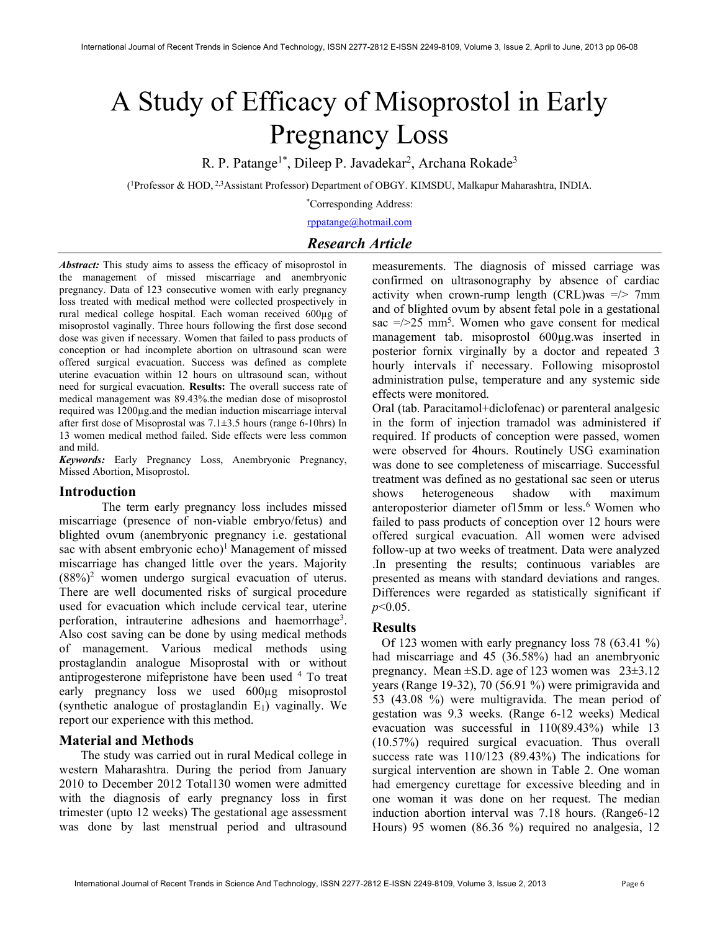# A Study of Efficacy of Misoprostol in Early Pregnancy Loss

R. P. Patange<sup>1\*</sup>, Dileep P. Javadekar<sup>2</sup>, Archana Rokade<sup>3</sup>

( <sup>1</sup>Professor & HOD, 2,3Assistant Professor) Department of OBGY. KIMSDU, Malkapur Maharashtra, INDIA.

\*Corresponding Address:

rppatange@hotmail.com

# Research Article

Abstract: This study aims to assess the efficacy of misoprostol in the management of missed miscarriage and anembryonic pregnancy. Data of 123 consecutive women with early pregnancy loss treated with medical method were collected prospectively in rural medical college hospital. Each woman received 600µg of misoprostol vaginally. Three hours following the first dose second dose was given if necessary. Women that failed to pass products of conception or had incomplete abortion on ultrasound scan were offered surgical evacuation. Success was defined as complete uterine evacuation within 12 hours on ultrasound scan, without need for surgical evacuation. Results: The overall success rate of medical management was 89.43%.the median dose of misoprostol required was 1200µg.and the median induction miscarriage interval after first dose of Misoprostal was 7.1±3.5 hours (range 6-10hrs) In 13 women medical method failed. Side effects were less common and mild.

Keywords: Early Pregnancy Loss, Anembryonic Pregnancy, Missed Abortion, Misoprostol.

# Introduction

The term early pregnancy loss includes missed miscarriage (presence of non-viable embryo/fetus) and blighted ovum (anembryonic pregnancy i.e. gestational sac with absent embryonic echo)<sup>1</sup> Management of missed miscarriage has changed little over the years. Majority  $(88%)<sup>2</sup>$  women undergo surgical evacuation of uterus. There are well documented risks of surgical procedure used for evacuation which include cervical tear, uterine perforation, intrauterine adhesions and haemorrhage<sup>3</sup>. Also cost saving can be done by using medical methods of management. Various medical methods using prostaglandin analogue Misoprostal with or without antiprogesterone mifepristone have been used <sup>4</sup> To treat early pregnancy loss we used 600µg misoprostol (synthetic analogue of prostaglandin E1) vaginally. We report our experience with this method.

# Material and Methods

 The study was carried out in rural Medical college in western Maharashtra. During the period from January 2010 to December 2012 Total130 women were admitted with the diagnosis of early pregnancy loss in first trimester (upto 12 weeks) The gestational age assessment was done by last menstrual period and ultrasound

measurements. The diagnosis of missed carriage was confirmed on ultrasonography by absence of cardiac activity when crown-rump length (CRL)was  $\approx$  7mm and of blighted ovum by absent fetal pole in a gestational sac  $\approx$   $\frac{1}{25}$  mm<sup>5</sup>. Women who gave consent for medical management tab. misoprostol 600µg.was inserted in posterior fornix virginally by a doctor and repeated 3 hourly intervals if necessary. Following misoprostol administration pulse, temperature and any systemic side effects were monitored.

Oral (tab. Paracitamol+diclofenac) or parenteral analgesic in the form of injection tramadol was administered if required. If products of conception were passed, women were observed for 4hours. Routinely USG examination was done to see completeness of miscarriage. Successful treatment was defined as no gestational sac seen or uterus shows heterogeneous shadow with maximum anteroposterior diameter of15mm or less.<sup>6</sup> Women who failed to pass products of conception over 12 hours were offered surgical evacuation. All women were advised follow-up at two weeks of treatment. Data were analyzed .In presenting the results; continuous variables are presented as means with standard deviations and ranges. Differences were regarded as statistically significant if  $p<0.05$ .

# Results

 Of 123 women with early pregnancy loss 78 (63.41 %) had miscarriage and 45 (36.58%) had an anembryonic pregnancy. Mean ±S.D. age of 123 women was 23±3.12 years (Range 19-32), 70 (56.91 %) were primigravida and 53 (43.08 %) were multigravida. The mean period of gestation was 9.3 weeks. (Range 6-12 weeks) Medical evacuation was successful in 110(89.43%) while 13 (10.57%) required surgical evacuation. Thus overall success rate was 110/123 (89.43%) The indications for surgical intervention are shown in Table 2. One woman had emergency curettage for excessive bleeding and in one woman it was done on her request. The median induction abortion interval was 7.18 hours. (Range6-12 Hours) 95 women (86.36 %) required no analgesia, 12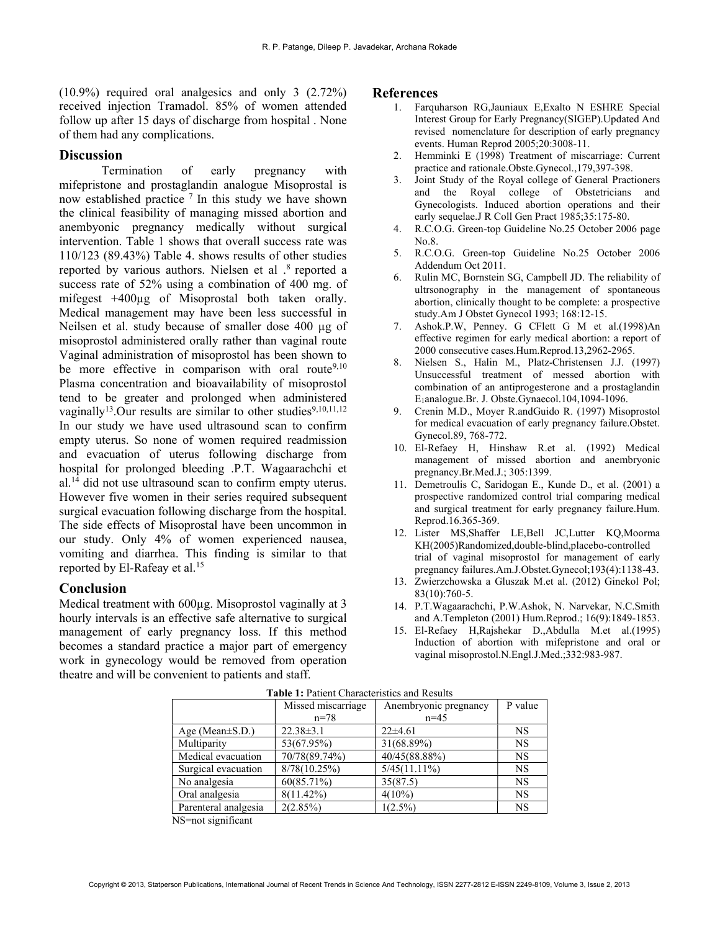(10.9%) required oral analgesics and only 3 (2.72%) received injection Tramadol. 85% of women attended follow up after 15 days of discharge from hospital . None of them had any complications.

#### **Discussion**

Termination of early pregnancy with mifepristone and prostaglandin analogue Misoprostal is now established practice  $<sup>7</sup>$  In this study we have shown</sup> the clinical feasibility of managing missed abortion and anembyonic pregnancy medically without surgical intervention. Table 1 shows that overall success rate was 110/123 (89.43%) Table 4. shows results of other studies reported by various authors. Nielsen et al .<sup>8</sup> reported a success rate of 52% using a combination of 400 mg. of mifegest  $+400\mu$ g of Misoprostal both taken orally. Medical management may have been less successful in Neilsen et al. study because of smaller dose 400 µg of misoprostol administered orally rather than vaginal route Vaginal administration of misoprostol has been shown to be more effective in comparison with oral route<sup>9,10</sup> Plasma concentration and bioavailability of misoprostol tend to be greater and prolonged when administered vaginally<sup>13</sup>.Our results are similar to other studies<sup>9,10,11,12</sup> In our study we have used ultrasound scan to confirm empty uterus. So none of women required readmission and evacuation of uterus following discharge from hospital for prolonged bleeding .P.T. Wagaarachchi et al.<sup>14</sup> did not use ultrasound scan to confirm empty uterus. However five women in their series required subsequent surgical evacuation following discharge from the hospital. The side effects of Misoprostal have been uncommon in our study. Only 4% of women experienced nausea, vomiting and diarrhea. This finding is similar to that reported by El-Rafeay et al.<sup>15</sup>

#### Conclusion

Medical treatment with 600µg. Misoprostol vaginally at 3 hourly intervals is an effective safe alternative to surgical management of early pregnancy loss. If this method becomes a standard practice a major part of emergency work in gynecology would be removed from operation theatre and will be convenient to patients and staff.

#### **References**

- 1. Farquharson RG,Jauniaux E,Exalto N ESHRE Special Interest Group for Early Pregnancy(SIGEP).Updated And revised nomenclature for description of early pregnancy events. Human Reprod 2005;20:3008-11.
- 2. Hemminki E (1998) Treatment of miscarriage: Current practice and rationale.Obste.Gynecol.,179,397-398.
- 3. Joint Study of the Royal college of General Practioners and the Royal college of Obstetricians and Gynecologists. Induced abortion operations and their early sequelae.J R Coll Gen Pract 1985;35:175-80.
- 4. R.C.O.G. Green-top Guideline No.25 October 2006 page No.8.
- 5. R.C.O.G. Green-top Guideline No.25 October 2006 Addendum Oct 2011.
- 6. Rulin MC, Bornstein SG, Campbell JD. The reliability of ultrsonography in the management of spontaneous abortion, clinically thought to be complete: a prospective study.Am J Obstet Gynecol 1993; 168:12-15.
- 7. Ashok.P.W, Penney. G CFlett G M et al.(1998)An effective regimen for early medical abortion: a report of 2000 consecutive cases.Hum.Reprod.13,2962-2965.
- 8. Nielsen S., Halin M., Platz-Christensen J.J. (1997) Unsuccessful treatment of messed abortion with combination of an antiprogesterone and a prostaglandin E1analogue.Br. J. Obste.Gynaecol.104,1094-1096.
- 9. Crenin M.D., Moyer R.andGuido R. (1997) Misoprostol for medical evacuation of early pregnancy failure.Obstet. Gynecol.89, 768-772.
- 10. El-Refaey H, Hinshaw R.et al. (1992) Medical management of missed abortion and anembryonic pregnancy.Br.Med.J.; 305:1399.
- 11. Demetroulis C, Saridogan E., Kunde D., et al. (2001) a prospective randomized control trial comparing medical and surgical treatment for early pregnancy failure.Hum. Reprod.16.365-369.
- 12. Lister MS,Shaffer LE,Bell JC,Lutter KQ,Moorma KH(2005)Randomized,double-blind,placebo-controlled trial of vaginal misoprostol for management of early pregnancy failures.Am.J.Obstet.Gynecol;193(4):1138-43.
- 13. Zwierzchowska a Gluszak M.et al. (2012) Ginekol Pol; 83(10):760-5.
- 14. P.T.Wagaarachchi, P.W.Ashok, N. Narvekar, N.C.Smith and A.Templeton (2001) Hum.Reprod.; 16(9):1849-1853.
- 15. El-Refaey H,Rajshekar D.,Abdulla M.et al.(1995) Induction of abortion with mifepristone and oral or vaginal misoprostol.N.Engl.J.Med.;332:983-987.

| Missed miscarriage |                 | P value               |  |  |  |  |
|--------------------|-----------------|-----------------------|--|--|--|--|
| $n = 78$           | $n=45$          |                       |  |  |  |  |
| $22.38 \pm 3.1$    | $22\pm 4.61$    | <b>NS</b>             |  |  |  |  |
| 53(67.95%)         | 31(68.89%)      | <b>NS</b>             |  |  |  |  |
| 70/78(89.74%)      | 40/45(88.88%)   | <b>NS</b>             |  |  |  |  |
| 8/78(10.25%)       | $5/45(11.11\%)$ | <b>NS</b>             |  |  |  |  |
| 60(85.71%)         | 35(87.5)        | <b>NS</b>             |  |  |  |  |
| $8(11.42\%)$       | $4(10\%)$       | <b>NS</b>             |  |  |  |  |
| 2(2.85%)           | $1(2.5\%)$      | <b>NS</b>             |  |  |  |  |
|                    |                 | Anembryonic pregnancy |  |  |  |  |

Table 1: Patient Characteristics and Results

NS=not significant